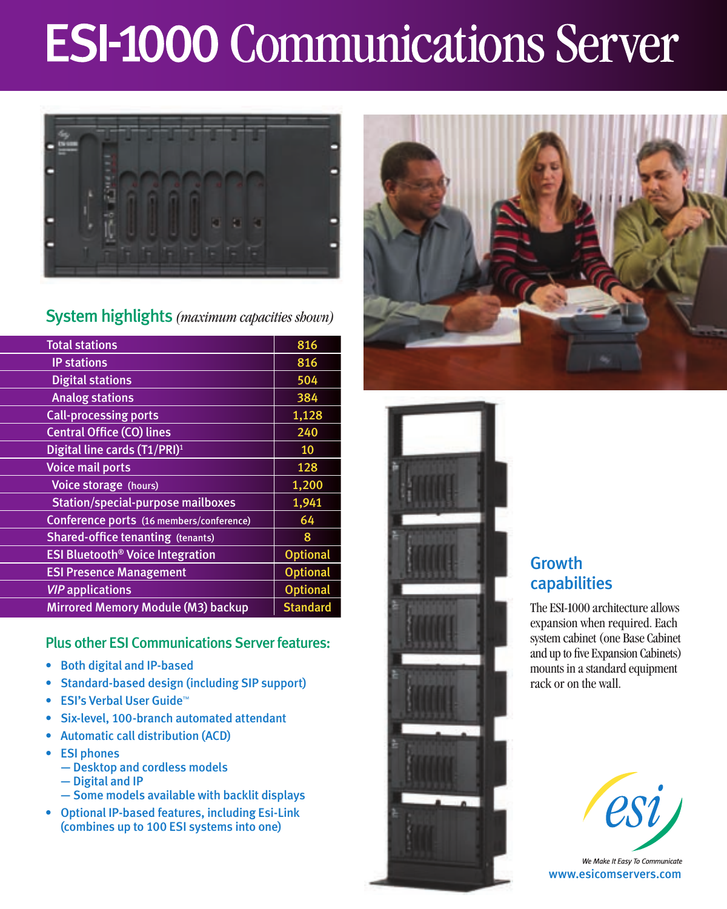# **ESI-1000 Communications Server**



### System highlights *(maximum capacities shown)*

| <b>Total stations</b>                              | 816             |
|----------------------------------------------------|-----------------|
| <b>IP stations</b>                                 | 816             |
| <b>Digital stations</b>                            | 504             |
| <b>Analog stations</b>                             | 384             |
| <b>Call-processing ports</b>                       | 1,128           |
| <b>Central Office (CO) lines</b>                   | 240             |
| Digital line cards (T1/PRI) <sup>1</sup>           | 10              |
| <b>Voice mail ports</b>                            | 128             |
| Voice storage (hours)                              | 1,200           |
| <b>Station/special-purpose mailboxes</b>           | 1,941           |
| Conference ports (16 members/conference)           | 64              |
| <b>Shared-office tenanting (tenants)</b>           | 8               |
| <b>ESI Bluetooth<sup>®</sup> Voice Integration</b> | <b>Optional</b> |
| <b>ESI Presence Management</b>                     | <b>Optional</b> |
| <b>VIP</b> applications                            | <b>Optional</b> |
| Mirrored Memory Module (M3) backup                 | <b>Standard</b> |

Plus other ESI Communications Server features:

- • Both digital and IP-based
- • Standard-based design (including SIP support)
- ESI's Verbal User Guide™
- Six-level, 100-branch automated attendant
- **Automatic call distribution (ACD)**
- • ESI phones
	- Desktop and cordless models
	- Digital and IP
	- Some models available with backlit displays
- • Optional IP-based features, including Esi-Link (combines up to 100 ESI systems into one)





## **Growth** capabilities

The ESI-1000 architecture allows expansion when required. Each system cabinet (one Base Cabinet and up to five Expansion Cabinets) mounts in a standard equipment rack or on the wall.



We Make It Easy To Communicate www.esicomservers.com